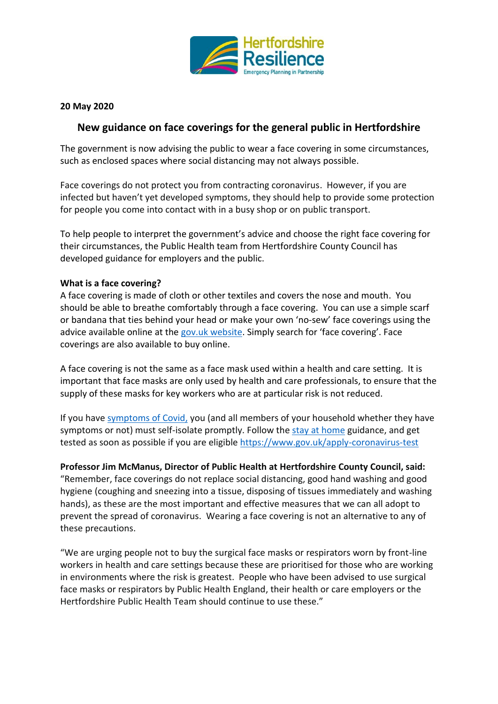

## **20 May 2020**

## **New guidance on face coverings for the general public in Hertfordshire**

The government is now advising the public to wear a face covering in some circumstances, such as enclosed spaces where social distancing may not always possible.

Face coverings do not protect you from contracting coronavirus. However, if you are infected but haven't yet developed symptoms, they should help to provide some protection for people you come into contact with in a busy shop or on public transport.

To help people to interpret the government's advice and choose the right face covering for their circumstances, the Public Health team from Hertfordshire County Council has developed guidance for employers and the public.

## **What is a face covering?**

A face covering is made of cloth or other textiles and covers the nose and mouth. You should be able to breathe comfortably through a face covering. You can use a simple scarf or bandana that ties behind your head or [make your own '](https://www.gov.uk/government/publications/how-to-wear-and-make-a-cloth-face-covering/how-to-wear-and-make-a-cloth-face-covering)no-sew' face coverings using the advice available online at the [gov.uk website](https://www.gov.uk/government/publications/how-to-wear-and-make-a-cloth-face-covering/how-to-wear-and-make-a-cloth-face-covering). Simply search for 'face covering'. Face coverings are also available to buy online.

A face covering is not the same as a face mask used within a health and care setting. It is important that face masks are only used by health and care professionals, to ensure that the supply of these masks for key workers who are at particular risk is not reduced.

If you have [symptoms of Covid,](https://www.nhs.uk/conditions/coronavirus-covid-19/check-if-you-have-coronavirus-symptoms/) you (and all members of your household whether they have symptoms or not) must self-isolate promptly. Follow the [stay at home](https://www.gov.uk/government/publications/covid-19-stay-at-home-guidance) guidance, and get tested as soon as possible if you are eligible<https://www.gov.uk/apply-coronavirus-test>

## **Professor Jim McManus, Director of Public Health at Hertfordshire County Council, said:**

"Remember, face coverings do not replace social distancing, good hand washing and good hygiene (coughing and sneezing into a tissue, disposing of tissues immediately and washing hands), as these are the most important and effective measures that we can all adopt to prevent the spread of coronavirus. Wearing a face covering is not an alternative to any of these precautions.

"We are urging people not to buy the surgical face masks or respirators worn by front-line workers in health and care settings because these are prioritised for those who are working in environments where the risk is greatest. People who have been advised to use surgical face masks or respirators by Public Health England, their health or care employers or the Hertfordshire Public Health Team should continue to use these."